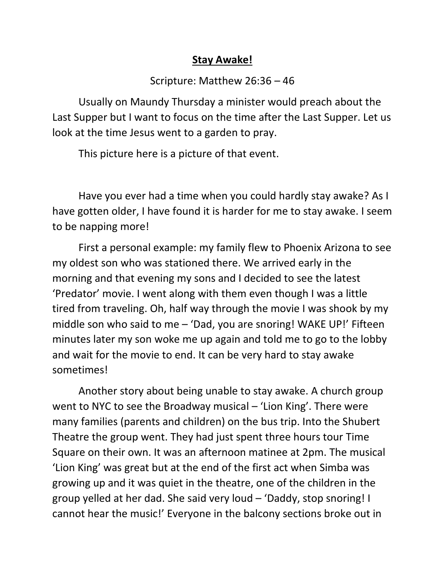## **Stay Awake!**

## Scripture: Matthew 26:36 – 46

Usually on Maundy Thursday a minister would preach about the Last Supper but I want to focus on the time after the Last Supper. Let us look at the time Jesus went to a garden to pray.

This picture here is a picture of that event.

Have you ever had a time when you could hardly stay awake? As I have gotten older, I have found it is harder for me to stay awake. I seem to be napping more!

First a personal example: my family flew to Phoenix Arizona to see my oldest son who was stationed there. We arrived early in the morning and that evening my sons and I decided to see the latest 'Predator' movie. I went along with them even though I was a little tired from traveling. Oh, half way through the movie I was shook by my middle son who said to me  $-$  'Dad, you are snoring! WAKE UP!' Fifteen minutes later my son woke me up again and told me to go to the lobby and wait for the movie to end. It can be very hard to stay awake sometimes!

Another story about being unable to stay awake. A church group went to NYC to see the Broadway musical – 'Lion King'. There were many families (parents and children) on the bus trip. Into the Shubert Theatre the group went. They had just spent three hours tour Time Square on their own. It was an afternoon matinee at 2pm. The musical 'Lion King' was great but at the end of the first act when Simba was growing up and it was quiet in the theatre, one of the children in the group yelled at her dad. She said very loud – 'Daddy, stop snoring! I cannot hear the music!' Everyone in the balcony sections broke out in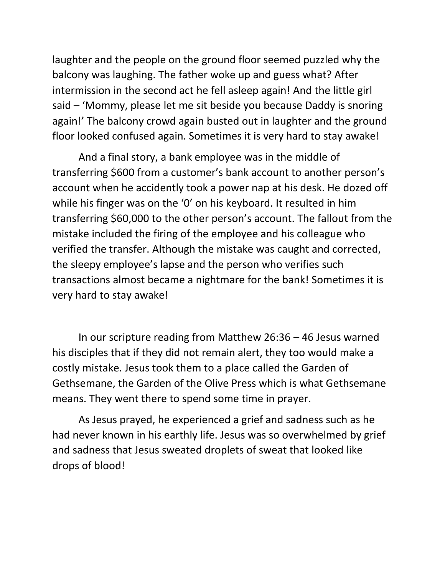laughter and the people on the ground floor seemed puzzled why the balcony was laughing. The father woke up and guess what? After intermission in the second act he fell asleep again! And the little girl said – 'Mommy, please let me sit beside you because Daddy is snoring again!' The balcony crowd again busted out in laughter and the ground floor looked confused again. Sometimes it is very hard to stay awake!

And a final story, a bank employee was in the middle of transferring \$600 from a customer's bank account to another person's account when he accidently took a power nap at his desk. He dozed off while his finger was on the '0' on his keyboard. It resulted in him transferring \$60,000 to the other person's account. The fallout from the mistake included the firing of the employee and his colleague who verified the transfer. Although the mistake was caught and corrected, the sleepy employee's lapse and the person who verifies such transactions almost became a nightmare for the bank! Sometimes it is very hard to stay awake!

In our scripture reading from Matthew 26:36 – 46 Jesus warned his disciples that if they did not remain alert, they too would make a costly mistake. Jesus took them to a place called the Garden of Gethsemane, the Garden of the Olive Press which is what Gethsemane means. They went there to spend some time in prayer.

As Jesus prayed, he experienced a grief and sadness such as he had never known in his earthly life. Jesus was so overwhelmed by grief and sadness that Jesus sweated droplets of sweat that looked like drops of blood!